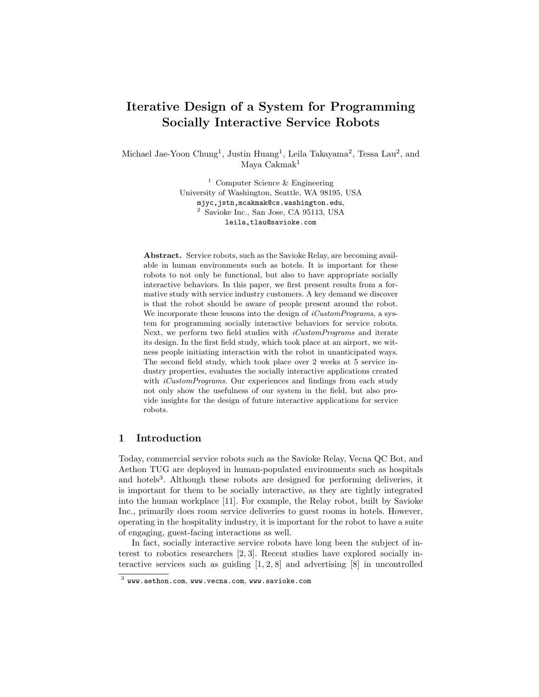# Iterative Design of a System for Programming Socially Interactive Service Robots

Michael Jae-Yoon Chung<sup>1</sup>, Justin Huang<sup>1</sup>, Leila Takayama<sup>2</sup>, Tessa Lau<sup>2</sup>, and Maya Cakmak<sup>1</sup>

> <sup>1</sup> Computer Science  $&$  Engineering University of Washington, Seattle, WA 98195, USA mjyc,jstn,mcakmak@cs.washington.edu,  $\frac{2 \text{ C}}{2 \text{ C}}$ <sup>2</sup> Savioke Inc., San Jose, CA 95113, USA leila,tlau@savioke.com

Abstract. Service robots, such as the Savioke Relay, are becoming available in human environments such as hotels. It is important for these robots to not only be functional, but also to have appropriate socially interactive behaviors. In this paper, we first present results from a formative study with service industry customers. A key demand we discover is that the robot should be aware of people present around the robot. We incorporate these lessons into the design of  $iCustomPrograms$ , a system for programming socially interactive behaviors for service robots. Next, we perform two field studies with *iCustomPrograms* and iterate its design. In the first field study, which took place at an airport, we witness people initiating interaction with the robot in unanticipated ways. The second field study, which took place over 2 weeks at 5 service industry properties, evaluates the socially interactive applications created with *iCustomPrograms*. Our experiences and findings from each study not only show the usefulness of our system in the field, but also provide insights for the design of future interactive applications for service robots.

## 1 Introduction

Today, commercial service robots such as the Savioke Relay, Vecna QC Bot, and Aethon TUG are deployed in human-populated environments such as hospitals and hotels<sup>3</sup>. Although these robots are designed for performing deliveries, it is important for them to be socially interactive, as they are tightly integrated into the human workplace [11]. For example, the Relay robot, built by Savioke Inc., primarily does room service deliveries to guest rooms in hotels. However, operating in the hospitality industry, it is important for the robot to have a suite of engaging, guest-facing interactions as well.

In fact, socially interactive service robots have long been the subject of interest to robotics researchers [2, 3]. Recent studies have explored socially interactive services such as guiding  $[1, 2, 8]$  and advertising  $[8]$  in uncontrolled

 $^3$  www.aethon.com, www.vecna.com, www.savioke.com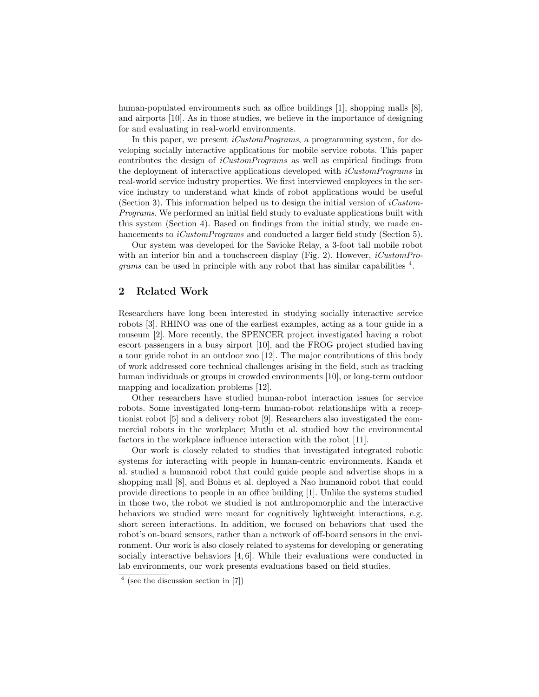human-populated environments such as office buildings [1], shopping malls [8], and airports [10]. As in those studies, we believe in the importance of designing for and evaluating in real-world environments.

In this paper, we present *iCustomPrograms*, a programming system, for developing socially interactive applications for mobile service robots. This paper contributes the design of iCustomPrograms as well as empirical findings from the deployment of interactive applications developed with iCustomPrograms in real-world service industry properties. We first interviewed employees in the service industry to understand what kinds of robot applications would be useful (Section 3). This information helped us to design the initial version of  $iCustomer$ Programs. We performed an initial field study to evaluate applications built with this system (Section 4). Based on findings from the initial study, we made enhancements to *iCustomPrograms* and conducted a larger field study (Section 5).

Our system was developed for the Savioke Relay, a 3-foot tall mobile robot with an interior bin and a touchscreen display (Fig. 2). However,  $iCustomer$ grams can be used in principle with any robot that has similar capabilities <sup>4</sup>.

## 2 Related Work

Researchers have long been interested in studying socially interactive service robots [3]. RHINO was one of the earliest examples, acting as a tour guide in a museum [2]. More recently, the SPENCER project investigated having a robot escort passengers in a busy airport [10], and the FROG project studied having a tour guide robot in an outdoor zoo [12]. The major contributions of this body of work addressed core technical challenges arising in the field, such as tracking human individuals or groups in crowded environments [10], or long-term outdoor mapping and localization problems [12].

Other researchers have studied human-robot interaction issues for service robots. Some investigated long-term human-robot relationships with a receptionist robot [5] and a delivery robot [9]. Researchers also investigated the commercial robots in the workplace; Mutlu et al. studied how the environmental factors in the workplace influence interaction with the robot [11].

Our work is closely related to studies that investigated integrated robotic systems for interacting with people in human-centric environments. Kanda et al. studied a humanoid robot that could guide people and advertise shops in a shopping mall [8], and Bohus et al. deployed a Nao humanoid robot that could provide directions to people in an office building [1]. Unlike the systems studied in those two, the robot we studied is not anthropomorphic and the interactive behaviors we studied were meant for cognitively lightweight interactions, e.g. short screen interactions. In addition, we focused on behaviors that used the robot's on-board sensors, rather than a network of off-board sensors in the environment. Our work is also closely related to systems for developing or generating socially interactive behaviors [4, 6]. While their evaluations were conducted in lab environments, our work presents evaluations based on field studies.

 $4$  (see the discussion section in [7])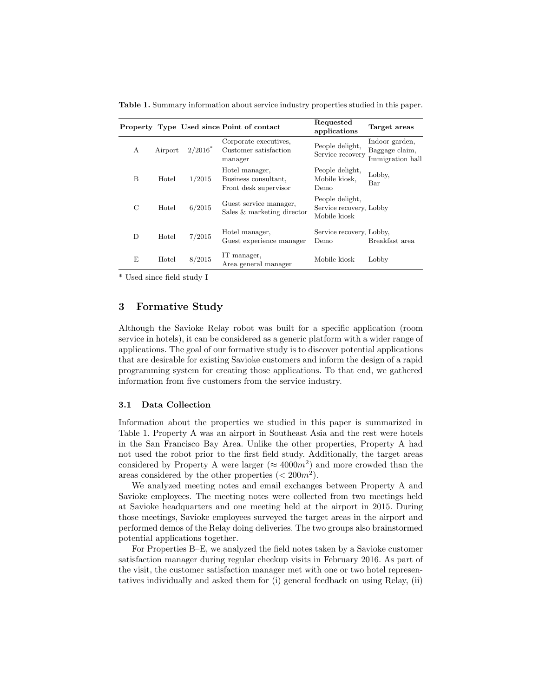Table 1. Summary information about service industry properties studied in this paper.

|   |         |            | Property Type Used since Point of contact                       | Requested<br>applications                                  | Target areas                                         |
|---|---------|------------|-----------------------------------------------------------------|------------------------------------------------------------|------------------------------------------------------|
| A | Airport | $2/2016^*$ | Corporate executives,<br>Customer satisfaction<br>manager       | People delight,<br>Service recovery                        | Indoor garden,<br>Baggage claim,<br>Immigration hall |
| B | Hotel   | 1/2015     | Hotel manager,<br>Business consultant,<br>Front desk supervisor | People delight,<br>Mobile kiosk,<br>Demo                   | Lobby,<br>Bar                                        |
| C | Hotel   | 6/2015     | Guest service manager,<br>Sales & marketing director            | People delight,<br>Service recovery, Lobby<br>Mobile kiosk |                                                      |
| D | Hotel   | 7/2015     | Hotel manager,<br>Guest experience manager                      | Service recovery, Lobby,<br>Demo                           | Breakfast area                                       |
| E | Hotel   | 8/2015     | IT manager,<br>Area general manager                             | Mobile kiosk                                               | Lobby                                                |

\* Used since field study I

## 3 Formative Study

Although the Savioke Relay robot was built for a specific application (room service in hotels), it can be considered as a generic platform with a wider range of applications. The goal of our formative study is to discover potential applications that are desirable for existing Savioke customers and inform the design of a rapid programming system for creating those applications. To that end, we gathered information from five customers from the service industry.

#### 3.1 Data Collection

Information about the properties we studied in this paper is summarized in Table 1. Property A was an airport in Southeast Asia and the rest were hotels in the San Francisco Bay Area. Unlike the other properties, Property A had not used the robot prior to the first field study. Additionally, the target areas considered by Property A were larger ( $\approx 4000m^2$ ) and more crowded than the areas considered by the other properties  $( $200m^2$ ).$ 

We analyzed meeting notes and email exchanges between Property A and Savioke employees. The meeting notes were collected from two meetings held at Savioke headquarters and one meeting held at the airport in 2015. During those meetings, Savioke employees surveyed the target areas in the airport and performed demos of the Relay doing deliveries. The two groups also brainstormed potential applications together.

For Properties B–E, we analyzed the field notes taken by a Savioke customer satisfaction manager during regular checkup visits in February 2016. As part of the visit, the customer satisfaction manager met with one or two hotel representatives individually and asked them for (i) general feedback on using Relay, (ii)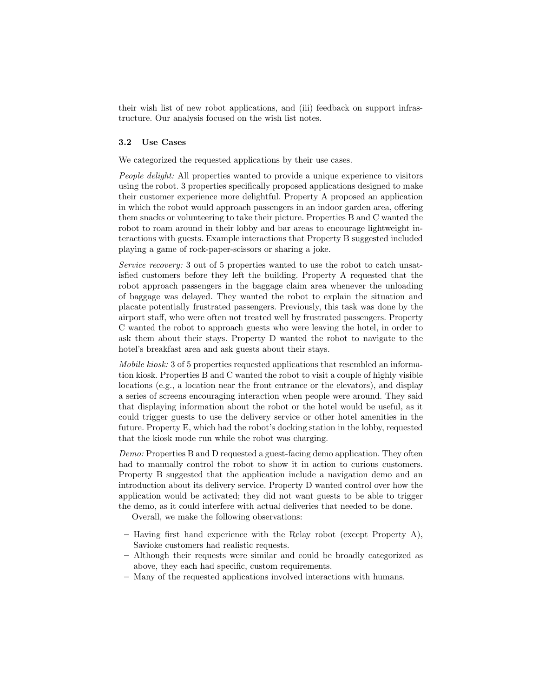their wish list of new robot applications, and (iii) feedback on support infrastructure. Our analysis focused on the wish list notes.

#### 3.2 Use Cases

We categorized the requested applications by their use cases.

People delight: All properties wanted to provide a unique experience to visitors using the robot. 3 properties specifically proposed applications designed to make their customer experience more delightful. Property A proposed an application in which the robot would approach passengers in an indoor garden area, offering them snacks or volunteering to take their picture. Properties B and C wanted the robot to roam around in their lobby and bar areas to encourage lightweight interactions with guests. Example interactions that Property B suggested included playing a game of rock-paper-scissors or sharing a joke.

Service recovery: 3 out of 5 properties wanted to use the robot to catch unsatisfied customers before they left the building. Property A requested that the robot approach passengers in the baggage claim area whenever the unloading of baggage was delayed. They wanted the robot to explain the situation and placate potentially frustrated passengers. Previously, this task was done by the airport staff, who were often not treated well by frustrated passengers. Property C wanted the robot to approach guests who were leaving the hotel, in order to ask them about their stays. Property D wanted the robot to navigate to the hotel's breakfast area and ask guests about their stays.

Mobile kiosk: 3 of 5 properties requested applications that resembled an information kiosk. Properties B and C wanted the robot to visit a couple of highly visible locations (e.g., a location near the front entrance or the elevators), and display a series of screens encouraging interaction when people were around. They said that displaying information about the robot or the hotel would be useful, as it could trigger guests to use the delivery service or other hotel amenities in the future. Property E, which had the robot's docking station in the lobby, requested that the kiosk mode run while the robot was charging.

Demo: Properties B and D requested a guest-facing demo application. They often had to manually control the robot to show it in action to curious customers. Property B suggested that the application include a navigation demo and an introduction about its delivery service. Property D wanted control over how the application would be activated; they did not want guests to be able to trigger the demo, as it could interfere with actual deliveries that needed to be done.

Overall, we make the following observations:

- Having first hand experience with the Relay robot (except Property A), Savioke customers had realistic requests.
- Although their requests were similar and could be broadly categorized as above, they each had specific, custom requirements.
- Many of the requested applications involved interactions with humans.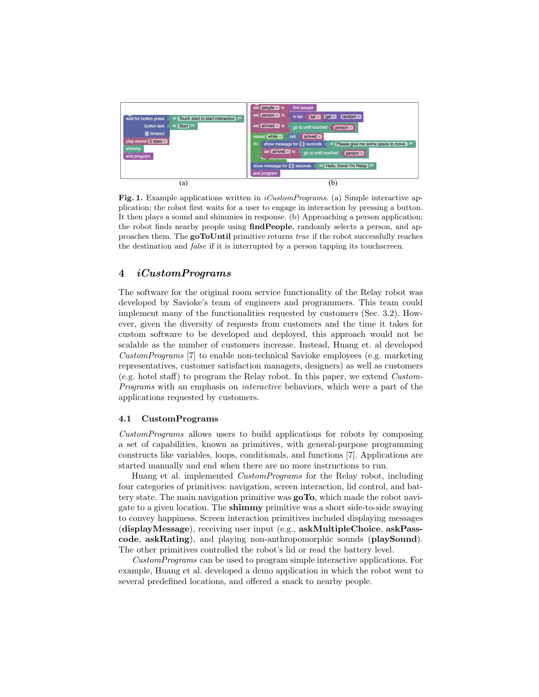

Fig. 1. Example applications written in  $iCustomer$  (a) Simple interactive application; the robot first waits for a user to engage in interaction by pressing a button. It then plays a sound and shimmies in response. (b) Approaching a person application; the robot finds nearby people using findPeople, randomly selects a person, and approaches them. The goToUntil primitive returns true if the robot successfully reaches the destination and false if it is interrupted by a person tapping its touchscreen.

## 4 iCustomPrograms

The software for the original room service functionality of the Relay robot was developed by Savioke's team of engineers and programmers. This team could implement many of the functionalities requested by customers (Sec. 3.2). However, given the diversity of requests from customers and the time it takes for custom software to be developed and deployed, this approach would not be scalable as the number of customers increase. Instead, Huang et. al developed CustomPrograms [7] to enable non-technical Savioke employees (e.g. marketing representatives, customer satisfaction managers, designers) as well as customers (e.g. hotel staff) to program the Relay robot. In this paper, we extend Custom-Programs with an emphasis on interactive behaviors, which were a part of the applications requested by customers.

#### 4.1 CustomPrograms

CustomPrograms allows users to build applications for robots by composing a set of capabilities, known as primitives, with general-purpose programming constructs like variables, loops, conditionals, and functions [7]. Applications are started manually and end when there are no more instructions to run.

Huang et al. implemented CustomPrograms for the Relay robot, including four categories of primitives: navigation, screen interaction, lid control, and battery state. The main navigation primitive was  $\boldsymbol{g}o\boldsymbol{\mathrm{To}}$ , which made the robot navigate to a given location. The shimmy primitive was a short side-to-side swaying to convey happiness. Screen interaction primitives included displaying messages (displayMessage), receiving user input (e.g., askMultipleChoice, askPasscode, askRating), and playing non-anthropomorphic sounds (playSound). The other primitives controlled the robot's lid or read the battery level.

CustomPrograms can be used to program simple interactive applications. For example, Huang et al. developed a demo application in which the robot went to several predefined locations, and offered a snack to nearby people.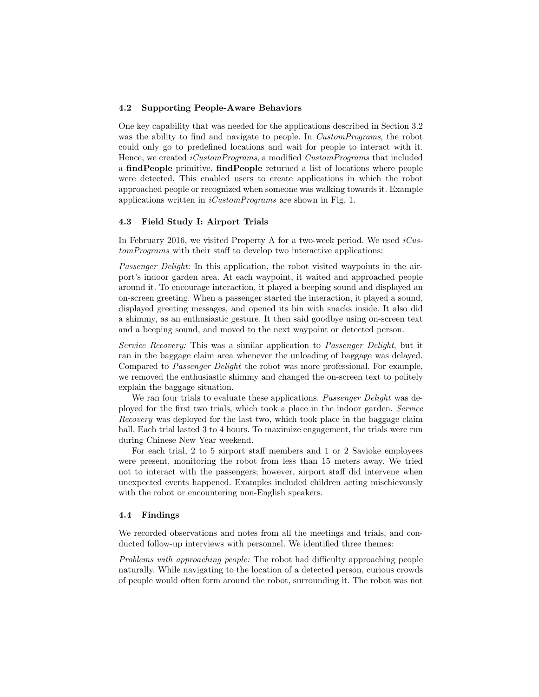#### 4.2 Supporting People-Aware Behaviors

One key capability that was needed for the applications described in Section 3.2 was the ability to find and navigate to people. In *CustomPrograms*, the robot could only go to predefined locations and wait for people to interact with it. Hence, we created iCustomPrograms, a modified CustomPrograms that included a findPeople primitive. findPeople returned a list of locations where people were detected. This enabled users to create applications in which the robot approached people or recognized when someone was walking towards it. Example applications written in iCustomPrograms are shown in Fig. 1.

#### 4.3 Field Study I: Airport Trials

In February 2016, we visited Property A for a two-week period. We used  $iCus$ tomPrograms with their staff to develop two interactive applications:

Passenger Delight: In this application, the robot visited waypoints in the airport's indoor garden area. At each waypoint, it waited and approached people around it. To encourage interaction, it played a beeping sound and displayed an on-screen greeting. When a passenger started the interaction, it played a sound, displayed greeting messages, and opened its bin with snacks inside. It also did a shimmy, as an enthusiastic gesture. It then said goodbye using on-screen text and a beeping sound, and moved to the next waypoint or detected person.

Service Recovery: This was a similar application to Passenger Delight, but it ran in the baggage claim area whenever the unloading of baggage was delayed. Compared to Passenger Delight the robot was more professional. For example, we removed the enthusiastic shimmy and changed the on-screen text to politely explain the baggage situation.

We ran four trials to evaluate these applications. *Passenger Delight* was deployed for the first two trials, which took a place in the indoor garden. Service Recovery was deployed for the last two, which took place in the baggage claim hall. Each trial lasted 3 to 4 hours. To maximize engagement, the trials were run during Chinese New Year weekend.

For each trial, 2 to 5 airport staff members and 1 or 2 Savioke employees were present, monitoring the robot from less than 15 meters away. We tried not to interact with the passengers; however, airport staff did intervene when unexpected events happened. Examples included children acting mischievously with the robot or encountering non-English speakers.

#### 4.4 Findings

We recorded observations and notes from all the meetings and trials, and conducted follow-up interviews with personnel. We identified three themes:

Problems with approaching people: The robot had difficulty approaching people naturally. While navigating to the location of a detected person, curious crowds of people would often form around the robot, surrounding it. The robot was not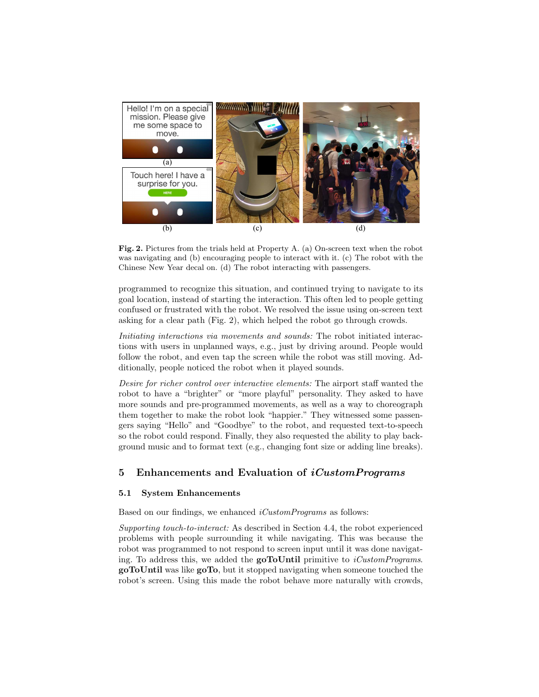

Fig. 2. Pictures from the trials held at Property A. (a) On-screen text when the robot was navigating and (b) encouraging people to interact with it. (c) The robot with the Chinese New Year decal on. (d) The robot interacting with passengers.

programmed to recognize this situation, and continued trying to navigate to its goal location, instead of starting the interaction. This often led to people getting confused or frustrated with the robot. We resolved the issue using on-screen text asking for a clear path (Fig. 2), which helped the robot go through crowds.

Initiating interactions via movements and sounds: The robot initiated interactions with users in unplanned ways, e.g., just by driving around. People would follow the robot, and even tap the screen while the robot was still moving. Additionally, people noticed the robot when it played sounds.

Desire for richer control over interactive elements: The airport staff wanted the robot to have a "brighter" or "more playful" personality. They asked to have more sounds and pre-programmed movements, as well as a way to choreograph them together to make the robot look "happier." They witnessed some passengers saying "Hello" and "Goodbye" to the robot, and requested text-to-speech so the robot could respond. Finally, they also requested the ability to play background music and to format text (e.g., changing font size or adding line breaks).

# 5 Enhancements and Evaluation of  $iCustomPrograms$

## 5.1 System Enhancements

Based on our findings, we enhanced  $iCustomer$   $Programs$  as follows:

Supporting touch-to-interact: As described in Section 4.4, the robot experienced problems with people surrounding it while navigating. This was because the robot was programmed to not respond to screen input until it was done navigating. To address this, we added the **goToUntil** primitive to *iCustomPrograms*. goToUntil was like goTo, but it stopped navigating when someone touched the robot's screen. Using this made the robot behave more naturally with crowds,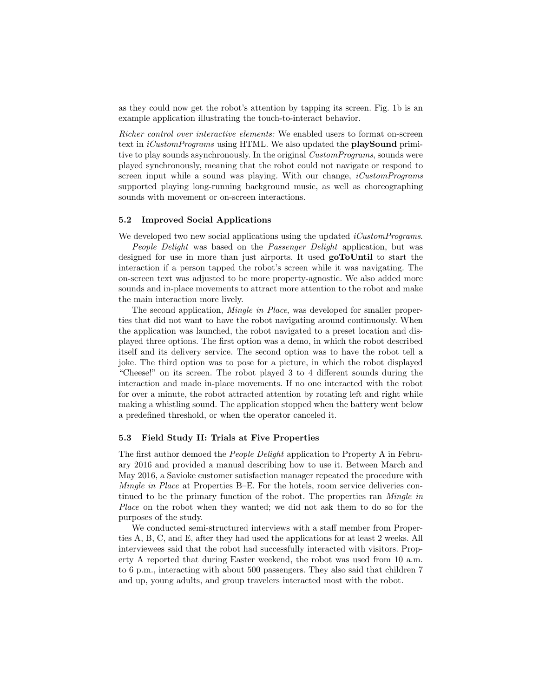as they could now get the robot's attention by tapping its screen. Fig. 1b is an example application illustrating the touch-to-interact behavior.

Richer control over interactive elements: We enabled users to format on-screen text in *iCustomPrograms* using HTML. We also updated the **playSound** primitive to play sounds asynchronously. In the original CustomPrograms, sounds were played synchronously, meaning that the robot could not navigate or respond to screen input while a sound was playing. With our change, *iCustomPrograms* supported playing long-running background music, as well as choreographing sounds with movement or on-screen interactions.

#### 5.2 Improved Social Applications

We developed two new social applications using the updated *iCustomPrograms*.

People Delight was based on the Passenger Delight application, but was designed for use in more than just airports. It used **goToUntil** to start the interaction if a person tapped the robot's screen while it was navigating. The on-screen text was adjusted to be more property-agnostic. We also added more sounds and in-place movements to attract more attention to the robot and make the main interaction more lively.

The second application, Mingle in Place, was developed for smaller properties that did not want to have the robot navigating around continuously. When the application was launched, the robot navigated to a preset location and displayed three options. The first option was a demo, in which the robot described itself and its delivery service. The second option was to have the robot tell a joke. The third option was to pose for a picture, in which the robot displayed "Cheese!" on its screen. The robot played 3 to 4 different sounds during the interaction and made in-place movements. If no one interacted with the robot for over a minute, the robot attracted attention by rotating left and right while making a whistling sound. The application stopped when the battery went below a predefined threshold, or when the operator canceled it.

#### 5.3 Field Study II: Trials at Five Properties

The first author demoed the People Delight application to Property A in February 2016 and provided a manual describing how to use it. Between March and May 2016, a Savioke customer satisfaction manager repeated the procedure with Mingle in Place at Properties B–E. For the hotels, room service deliveries continued to be the primary function of the robot. The properties ran *Mingle in* Place on the robot when they wanted; we did not ask them to do so for the purposes of the study.

We conducted semi-structured interviews with a staff member from Properties A, B, C, and E, after they had used the applications for at least 2 weeks. All interviewees said that the robot had successfully interacted with visitors. Property A reported that during Easter weekend, the robot was used from 10 a.m. to 6 p.m., interacting with about 500 passengers. They also said that children 7 and up, young adults, and group travelers interacted most with the robot.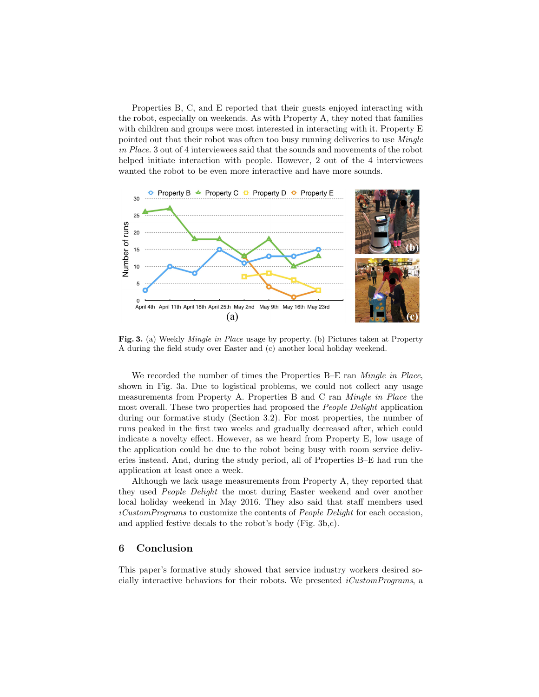Properties B, C, and E reported that their guests enjoyed interacting with the robot, especially on weekends. As with Property A, they noted that families with children and groups were most interested in interacting with it. Property E pointed out that their robot was often too busy running deliveries to use Mingle in Place. 3 out of 4 interviewees said that the sounds and movements of the robot helped initiate interaction with people. However, 2 out of the 4 interviewees wanted the robot to be even more interactive and have more sounds.



Fig. 3. (a) Weekly *Mingle in Place* usage by property. (b) Pictures taken at Property A during the field study over Easter and (c) another local holiday weekend.

We recorded the number of times the Properties B–E ran *Mingle in Place*, shown in Fig. 3a. Due to logistical problems, we could not collect any usage measurements from Property A. Properties B and C ran Mingle in Place the most overall. These two properties had proposed the People Delight application during our formative study (Section 3.2). For most properties, the number of runs peaked in the first two weeks and gradually decreased after, which could indicate a novelty effect. However, as we heard from Property E, low usage of the application could be due to the robot being busy with room service deliveries instead. And, during the study period, all of Properties B–E had run the application at least once a week.

Although we lack usage measurements from Property A, they reported that they used People Delight the most during Easter weekend and over another local holiday weekend in May 2016. They also said that staff members used iCustomPrograms to customize the contents of People Delight for each occasion, and applied festive decals to the robot's body (Fig. 3b,c).

## 6 Conclusion

This paper's formative study showed that service industry workers desired socially interactive behaviors for their robots. We presented iCustomPrograms, a